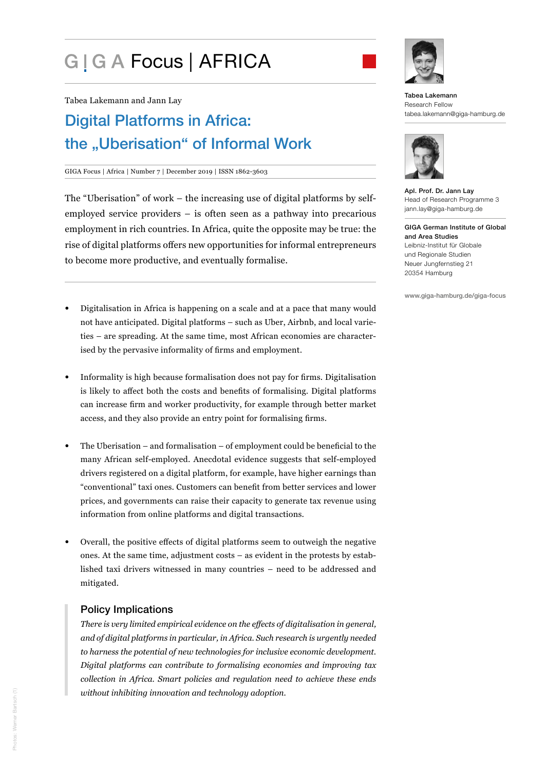# G | G A Focus | AFRICA



Tabea Lakemann and Jann Lay

## Digital Platforms in Africa: the "Uberisation" of Informal Work

#### GIGA Focus | Africa | Number 7 | December 2019 | ISSN 1862-3603

The "Uberisation" of work – the increasing use of digital platforms by selfemployed service providers – is often seen as a pathway into precarious employment in rich countries. In Africa, quite the opposite may be true: the rise of digital platforms offers new opportunities for informal entrepreneurs to become more productive, and eventually formalise.

- Digitalisation in Africa is happening on a scale and at a pace that many would not have anticipated. Digital platforms – such as Uber, Airbnb, and local varieties – are spreading. At the same time, most African economies are characterised by the pervasive informality of firms and employment.
- Informality is high because formalisation does not pay for firms. Digitalisation is likely to affect both the costs and benefits of formalising. Digital platforms can increase firm and worker productivity, for example through better market access, and they also provide an entry point for formalising firms.
- The Uberisation and formalisation of employment could be beneficial to the many African self-employed. Anecdotal evidence suggests that self-employed drivers registered on a digital platform, for example, have higher earnings than "conventional" taxi ones. Customers can benefit from better services and lower prices, and governments can raise their capacity to generate tax revenue using information from online platforms and digital transactions.
- Overall, the positive effects of digital platforms seem to outweigh the negative ones. At the same time, adjustment costs – as evident in the protests by established taxi drivers witnessed in many countries – need to be addressed and mitigated.

#### Policy Implications

*There is very limited empirical evidence on the effects of digitalisation in general, and of digital platforms in particular, in Africa. Such research is urgently needed to harness the potential of new technologies for inclusive economic development. Digital platforms can contribute to formalising economies and improving tax collection in Africa. Smart policies and regulation need to achieve these ends without inhibiting innovation and technology adoption.* 





Apl. Prof. Dr. Jann Lay Head of Research Programme 3 jann.lay@giga-hamburg.de

GIGA German Institute of Global and Area Studies Leibniz-Institut für Globale und Regionale Studien Neuer Jungfernstieg 21 20354 Hamburg

www.giga-hamburg.de/giga-focus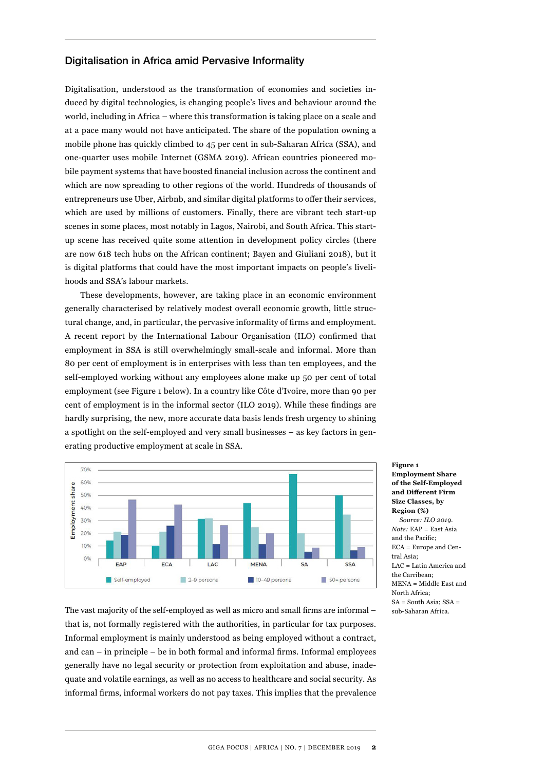#### Digitalisation in Africa amid Pervasive Informality

Digitalisation, understood as the transformation of economies and societies induced by digital technologies, is changing people's lives and behaviour around the world, including in Africa – where this transformation is taking place on a scale and at a pace many would not have anticipated. The share of the population owning a mobile phone has quickly climbed to 45 per cent in sub-Saharan Africa (SSA), and one-quarter uses mobile Internet (GSMA 2019). African countries pioneered mobile payment systems that have boosted financial inclusion across the continent and which are now spreading to other regions of the world. Hundreds of thousands of entrepreneurs use Uber, Airbnb, and similar digital platforms to offer their services, which are used by millions of customers. Finally, there are vibrant tech start-up scenes in some places, most notably in Lagos, Nairobi, and South Africa. This startup scene has received quite some attention in development policy circles (there are now 618 tech hubs on the African continent; Bayen and Giuliani 2018), but it is digital platforms that could have the most important impacts on people's livelihoods and SSA's labour markets.

These developments, however, are taking place in an economic environment generally characterised by relatively modest overall economic growth, little structural change, and, in particular, the pervasive informality of firms and employment. A recent report by the International Labour Organisation (ILO) confirmed that employment in SSA is still overwhelmingly small-scale and informal. More than 80 per cent of employment is in enterprises with less than ten employees, and the self-employed working without any employees alone make up 50 per cent of total employment (see Figure 1 below). In a country like Côte d'Ivoire, more than 90 per cent of employment is in the informal sector (ILO 2019). While these findings are hardly surprising, the new, more accurate data basis lends fresh urgency to shining a spotlight on the self-employed and very small businesses – as key factors in generating productive employment at scale in SSA.



**Figure 1 Employment Share of the Self-Employed and Different Firm Size Classes, by Region (%)** *Source: ILO 2019. Note:* EAP = East Asia and the Pacific; ECA = Europe and Central Asia; LAC = Latin America and the Carribean; MENA = Middle East and North Africa; SA = South Asia; SSA = sub-Saharan Africa.

The vast majority of the self-employed as well as micro and small firms are informal – that is, not formally registered with the authorities, in particular for tax purposes. Informal employment is mainly understood as being employed without a contract, and can – in principle – be in both formal and informal firms. Informal employees generally have no legal security or protection from exploitation and abuse, inadequate and volatile earnings, as well as no access to healthcare and social security. As informal firms, informal workers do not pay taxes. This implies that the prevalence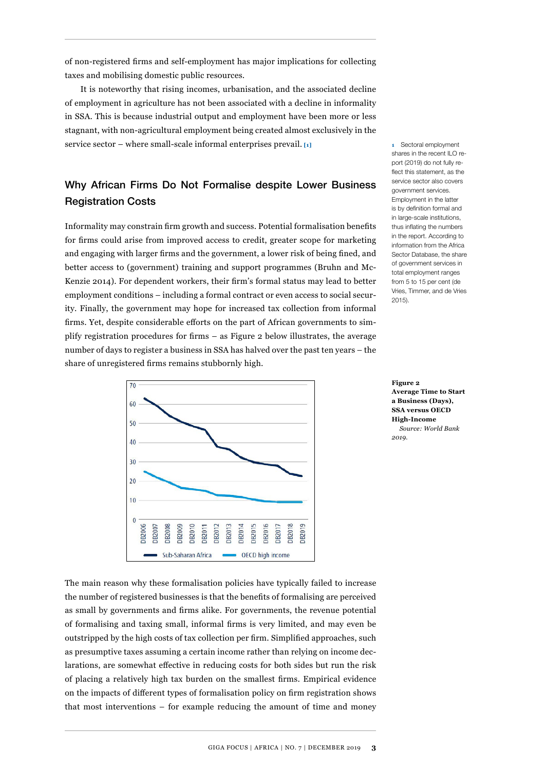of non-registered firms and self-employment has major implications for collecting taxes and mobilising domestic public resources.

It is noteworthy that rising incomes, urbanisation, and the associated decline of employment in agriculture has not been associated with a decline in informality in SSA. This is because industrial output and employment have been more or less stagnant, with non-agricultural employment being created almost exclusively in the service sector – where small-scale informal enterprises prevail. **[1]**

## Why African Firms Do Not Formalise despite Lower Business Registration Costs

Informality may constrain firm growth and success. Potential formalisation benefits for firms could arise from improved access to credit, greater scope for marketing and engaging with larger firms and the government, a lower risk of being fined, and better access to (government) training and support programmes (Bruhn and Mc-Kenzie 2014). For dependent workers, their firm's formal status may lead to better employment conditions – including a formal contract or even access to social security. Finally, the government may hope for increased tax collection from informal firms. Yet, despite considerable efforts on the part of African governments to simplify registration procedures for firms – as Figure 2 below illustrates, the average number of days to register a business in SSA has halved over the past ten years – the share of unregistered firms remains stubbornly high.



**1** Sectoral employment shares in the recent ILO report (2019) do not fully reflect this statement, as the service sector also covers government services. Employment in the latter is by definition formal and in large-scale institutions, thus inflating the numbers in the report. According to information from the Africa Sector Database, the share of government services in total employment ranges from 5 to 15 per cent (de Vries, Timmer, and de Vries 2015).

**Figure 2 Average Time to Start a Business (Days), SSA versus OECD High-Income** *Source: World Bank 2019.* 

The main reason why these formalisation policies have typically failed to increase the number of registered businesses is that the benefits of formalising are perceived as small by governments and firms alike. For governments, the revenue potential of formalising and taxing small, informal firms is very limited, and may even be outstripped by the high costs of tax collection per firm. Simplified approaches, such as presumptive taxes assuming a certain income rather than relying on income declarations, are somewhat effective in reducing costs for both sides but run the risk of placing a relatively high tax burden on the smallest firms. Empirical evidence on the impacts of different types of formalisation policy on firm registration shows that most interventions – for example reducing the amount of time and money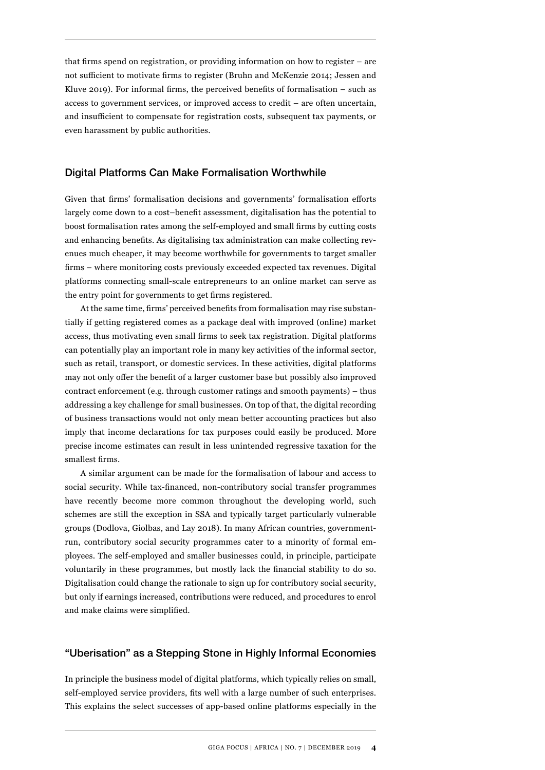that firms spend on registration, or providing information on how to register – are not sufficient to motivate firms to register (Bruhn and McKenzie 2014; Jessen and Kluve 2019). For informal firms, the perceived benefits of formalisation – such as access to government services, or improved access to credit – are often uncertain, and insufficient to compensate for registration costs, subsequent tax payments, or even harassment by public authorities.

#### Digital Platforms Can Make Formalisation Worthwhile

Given that firms' formalisation decisions and governments' formalisation efforts largely come down to a cost–benefit assessment, digitalisation has the potential to boost formalisation rates among the self-employed and small firms by cutting costs and enhancing benefits. As digitalising tax administration can make collecting revenues much cheaper, it may become worthwhile for governments to target smaller firms – where monitoring costs previously exceeded expected tax revenues. Digital platforms connecting small-scale entrepreneurs to an online market can serve as the entry point for governments to get firms registered.

At the same time, firms' perceived benefits from formalisation may rise substantially if getting registered comes as a package deal with improved (online) market access, thus motivating even small firms to seek tax registration. Digital platforms can potentially play an important role in many key activities of the informal sector, such as retail, transport, or domestic services. In these activities, digital platforms may not only offer the benefit of a larger customer base but possibly also improved contract enforcement (e.g. through customer ratings and smooth payments) – thus addressing a key challenge for small businesses. On top of that, the digital recording of business transactions would not only mean better accounting practices but also imply that income declarations for tax purposes could easily be produced. More precise income estimates can result in less unintended regressive taxation for the smallest firms.

A similar argument can be made for the formalisation of labour and access to social security. While tax-financed, non-contributory social transfer programmes have recently become more common throughout the developing world, such schemes are still the exception in SSA and typically target particularly vulnerable groups (Dodlova, Giolbas, and Lay 2018). In many African countries, governmentrun, contributory social security programmes cater to a minority of formal employees. The self-employed and smaller businesses could, in principle, participate voluntarily in these programmes, but mostly lack the financial stability to do so. Digitalisation could change the rationale to sign up for contributory social security, but only if earnings increased, contributions were reduced, and procedures to enrol and make claims were simplified.

#### "Uberisation" as a Stepping Stone in Highly Informal Economies

In principle the business model of digital platforms, which typically relies on small, self-employed service providers, fits well with a large number of such enterprises. This explains the select successes of app-based online platforms especially in the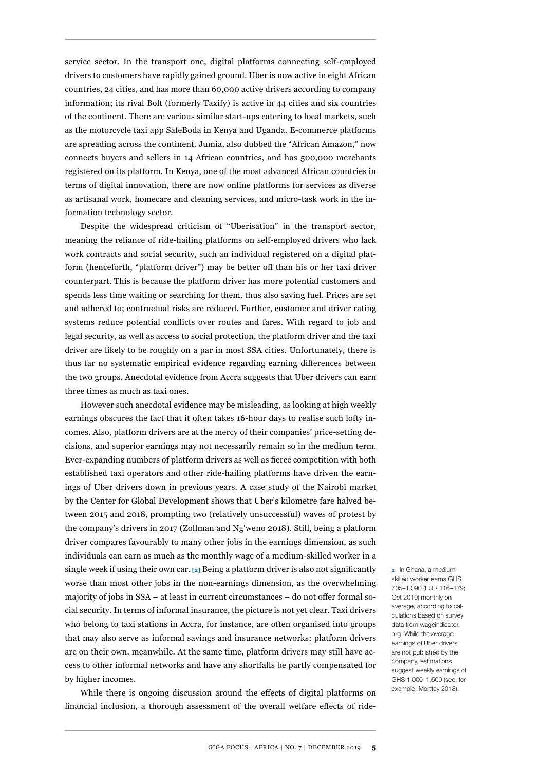service sector. In the transport one, digital platforms connecting self-employed drivers to customers have rapidly gained ground. Uber is now active in eight African countries, 24 cities, and has more than 60,000 active drivers according to company information; its rival Bolt (formerly Taxify) is active in 44 cities and six countries of the continent. There are various similar start-ups catering to local markets, such as the motorcycle taxi app SafeBoda in Kenya and Uganda. E-commerce platforms are spreading across the continent. Jumia, also dubbed the "African Amazon," now connects buyers and sellers in 14 African countries, and has 500,000 merchants registered on its platform. In Kenya, one of the most advanced African countries in terms of digital innovation, there are now online platforms for services as diverse as artisanal work, homecare and cleaning services, and micro-task work in the information technology sector.

Despite the widespread criticism of "Uberisation" in the transport sector, meaning the reliance of ride-hailing platforms on self-employed drivers who lack work contracts and social security, such an individual registered on a digital platform (henceforth, "platform driver") may be better off than his or her taxi driver counterpart. This is because the platform driver has more potential customers and spends less time waiting or searching for them, thus also saving fuel. Prices are set and adhered to; contractual risks are reduced. Further, customer and driver rating systems reduce potential conflicts over routes and fares. With regard to job and legal security, as well as access to social protection, the platform driver and the taxi driver are likely to be roughly on a par in most SSA cities. Unfortunately, there is thus far no systematic empirical evidence regarding earning differences between the two groups. Anecdotal evidence from Accra suggests that Uber drivers can earn three times as much as taxi ones.

However such anecdotal evidence may be misleading, as looking at high weekly earnings obscures the fact that it often takes 16-hour days to realise such lofty incomes. Also, platform drivers are at the mercy of their companies' price-setting decisions, and superior earnings may not necessarily remain so in the medium term. Ever-expanding numbers of platform drivers as well as fierce competition with both established taxi operators and other ride-hailing platforms have driven the earnings of Uber drivers down in previous years. A case study of the Nairobi market by the Center for Global Development shows that Uber's kilometre fare halved between 2015 and 2018, prompting two (relatively unsuccessful) waves of protest by the company's drivers in 2017 (Zollman and Ng'weno 2018). Still, being a platform driver compares favourably to many other jobs in the earnings dimension, as such individuals can earn as much as the monthly wage of a medium-skilled worker in a single week if using their own car. **[2]** Being a platform driver is also not significantly worse than most other jobs in the non-earnings dimension, as the overwhelming majority of jobs in SSA – at least in current circumstances – do not offer formal social security. In terms of informal insurance, the picture is not yet clear. Taxi drivers who belong to taxi stations in Accra, for instance, are often organised into groups that may also serve as informal savings and insurance networks; platform drivers are on their own, meanwhile. At the same time, platform drivers may still have access to other informal networks and have any shortfalls be partly compensated for by higher incomes.

While there is ongoing discussion around the effects of digital platforms on financial inclusion, a thorough assessment of the overall welfare effects of ride-

**2** In Ghana, a mediumskilled worker earns GHS 705–1,090 (EUR 116–179; Oct 2019) monthly on average, according to calculations based on survey data from wageindicator. org. While the average earnings of Uber drivers are not published by the company, estimations suggest weekly earnings of GHS 1,000–1,500 (see, for example, Morttey 2018).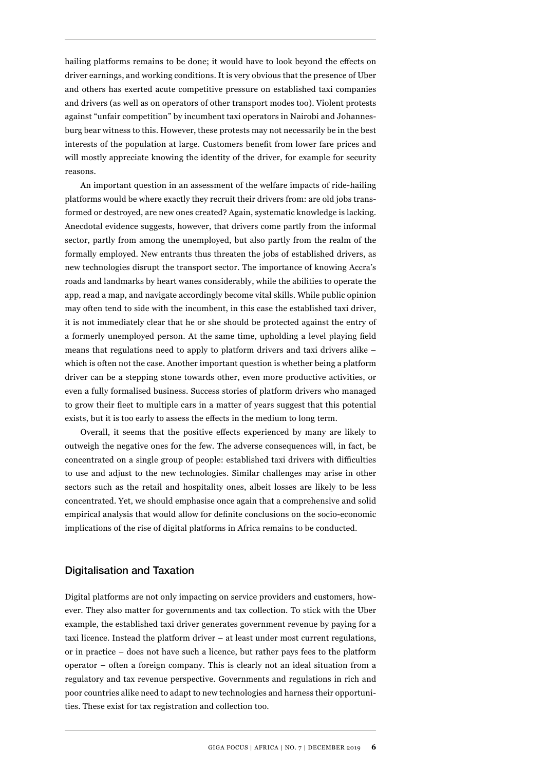hailing platforms remains to be done; it would have to look beyond the effects on driver earnings, and working conditions. It is very obvious that the presence of Uber and others has exerted acute competitive pressure on established taxi companies and drivers (as well as on operators of other transport modes too). Violent protests against "unfair competition" by incumbent taxi operators in Nairobi and Johannesburg bear witness to this. However, these protests may not necessarily be in the best interests of the population at large. Customers benefit from lower fare prices and will mostly appreciate knowing the identity of the driver, for example for security reasons.

An important question in an assessment of the welfare impacts of ride-hailing platforms would be where exactly they recruit their drivers from: are old jobs transformed or destroyed, are new ones created? Again, systematic knowledge is lacking. Anecdotal evidence suggests, however, that drivers come partly from the informal sector, partly from among the unemployed, but also partly from the realm of the formally employed. New entrants thus threaten the jobs of established drivers, as new technologies disrupt the transport sector. The importance of knowing Accra's roads and landmarks by heart wanes considerably, while the abilities to operate the app, read a map, and navigate accordingly become vital skills. While public opinion may often tend to side with the incumbent, in this case the established taxi driver, it is not immediately clear that he or she should be protected against the entry of a formerly unemployed person. At the same time, upholding a level playing field means that regulations need to apply to platform drivers and taxi drivers alike – which is often not the case. Another important question is whether being a platform driver can be a stepping stone towards other, even more productive activities, or even a fully formalised business. Success stories of platform drivers who managed to grow their fleet to multiple cars in a matter of years suggest that this potential exists, but it is too early to assess the effects in the medium to long term.

Overall, it seems that the positive effects experienced by many are likely to outweigh the negative ones for the few. The adverse consequences will, in fact, be concentrated on a single group of people: established taxi drivers with difficulties to use and adjust to the new technologies. Similar challenges may arise in other sectors such as the retail and hospitality ones, albeit losses are likely to be less concentrated. Yet, we should emphasise once again that a comprehensive and solid empirical analysis that would allow for definite conclusions on the socio-economic implications of the rise of digital platforms in Africa remains to be conducted.

#### Digitalisation and Taxation

Digital platforms are not only impacting on service providers and customers, however. They also matter for governments and tax collection. To stick with the Uber example, the established taxi driver generates government revenue by paying for a taxi licence. Instead the platform driver – at least under most current regulations, or in practice – does not have such a licence, but rather pays fees to the platform operator – often a foreign company. This is clearly not an ideal situation from a regulatory and tax revenue perspective. Governments and regulations in rich and poor countries alike need to adapt to new technologies and harness their opportunities. These exist for tax registration and collection too.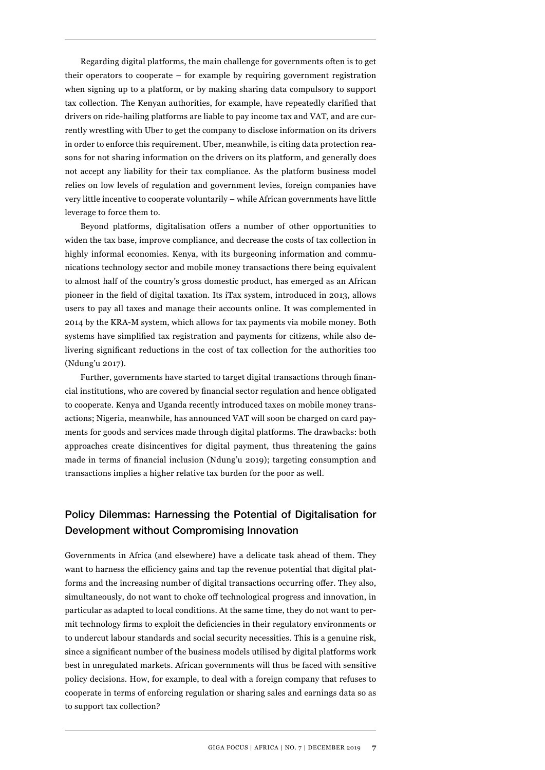Regarding digital platforms, the main challenge for governments often is to get their operators to cooperate – for example by requiring government registration when signing up to a platform, or by making sharing data compulsory to support tax collection. The Kenyan authorities, for example, have repeatedly clarified that drivers on ride-hailing platforms are liable to pay income tax and VAT, and are currently wrestling with Uber to get the company to disclose information on its drivers in order to enforce this requirement. Uber, meanwhile, is citing data protection reasons for not sharing information on the drivers on its platform, and generally does not accept any liability for their tax compliance. As the platform business model relies on low levels of regulation and government levies, foreign companies have very little incentive to cooperate voluntarily – while African governments have little leverage to force them to.

Beyond platforms, digitalisation offers a number of other opportunities to widen the tax base, improve compliance, and decrease the costs of tax collection in highly informal economies. Kenya, with its burgeoning information and communications technology sector and mobile money transactions there being equivalent to almost half of the country's gross domestic product, has emerged as an African pioneer in the field of digital taxation. Its iTax system, introduced in 2013, allows users to pay all taxes and manage their accounts online. It was complemented in 2014 by the KRA-M system, which allows for tax payments via mobile money. Both systems have simplified tax registration and payments for citizens, while also delivering significant reductions in the cost of tax collection for the authorities too (Ndung'u 2017).

Further, governments have started to target digital transactions through financial institutions, who are covered by financial sector regulation and hence obligated to cooperate. Kenya and Uganda recently introduced taxes on mobile money transactions; Nigeria, meanwhile, has announced VAT will soon be charged on card payments for goods and services made through digital platforms. The drawbacks: both approaches create disincentives for digital payment, thus threatening the gains made in terms of financial inclusion (Ndung'u 2019); targeting consumption and transactions implies a higher relative tax burden for the poor as well.

### Policy Dilemmas: Harnessing the Potential of Digitalisation for Development without Compromising Innovation

Governments in Africa (and elsewhere) have a delicate task ahead of them. They want to harness the efficiency gains and tap the revenue potential that digital platforms and the increasing number of digital transactions occurring offer. They also, simultaneously, do not want to choke off technological progress and innovation, in particular as adapted to local conditions. At the same time, they do not want to permit technology firms to exploit the deficiencies in their regulatory environments or to undercut labour standards and social security necessities. This is a genuine risk, since a significant number of the business models utilised by digital platforms work best in unregulated markets. African governments will thus be faced with sensitive policy decisions. How, for example, to deal with a foreign company that refuses to cooperate in terms of enforcing regulation or sharing sales and earnings data so as to support tax collection?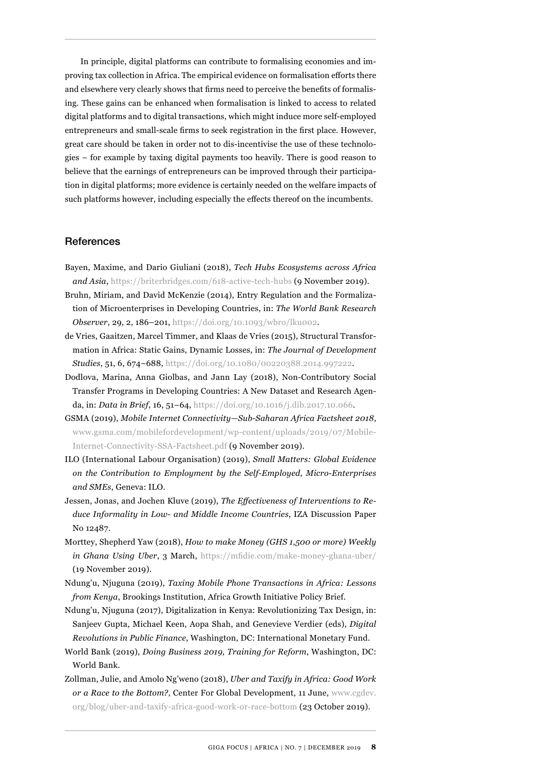In principle, digital platforms can contribute to formalising economies and improving tax collection in Africa. The empirical evidence on formalisation efforts there and elsewhere very clearly shows that firms need to perceive the benefits of formalising. These gains can be enhanced when formalisation is linked to access to related digital platforms and to digital transactions, which might induce more self-employed entrepreneurs and small-scale firms to seek registration in the first place. However, great care should be taken in order not to dis-incentivise the use of these technologies – for example by taxing digital payments too heavily. There is good reason to believe that the earnings of entrepreneurs can be improved through their participation in digital platforms; more evidence is certainly needed on the welfare impacts of such platforms however, including especially the effects thereof on the incumbents.

#### References

- Bayen, Maxime, and Dario Giuliani (2018), *Tech Hubs Ecosystems across Africa and Asia*, <https://briterbridges.com/618-active-tech-hubs>(9 November 2019).
- Bruhn, Miriam, and David McKenzie (2014), Entry Regulation and the Formalization of Microenterprises in Developing Countries, in: *The World Bank Research Observer*, 29, 2, 186–201, [https://doi.org/10.1093/wbro/lku002.](https://doi.org/10.1093/wbro/lku002)
- de Vries, Gaaitzen, Marcel Timmer, and Klaas de Vries (2015), Structural Transformation in Africa: Static Gains, Dynamic Losses, in: *The Journal of Development Studies*, 51, 6, 674–688, [https://doi.org/10.1080/00220388.2014.997222.](https://doi.org/10.1080/00220388.2014.997222)
- Dodlova, Marina, Anna Giolbas, and Jann Lay (2018), Non-Contributory Social Transfer Programs in Developing Countries: A New Dataset and Research Agenda, in: *Data in Brief*, 16, 51–64, [https://doi.org/10.1016/j.dib.2017.10.066.](https://doi.org/10.1016/j.dib.2017.10.066)
- GSMA (2019), *Mobile Internet Connectivity—Sub-Saharan Africa Factsheet 2018*, [www.gsma.com/mobilefordevelopment/wp-content/uploads/2019/07/Mobile-](http://www.gsma.com/mobilefordevelopment/wp-content/uploads/2019/07/Mobile-Internet-Connectivity-SSA-Factsheet.pdf)[Internet-Connectivity-SSA-Factsheet.pdf](http://www.gsma.com/mobilefordevelopment/wp-content/uploads/2019/07/Mobile-Internet-Connectivity-SSA-Factsheet.pdf) (9 November 2019).
- ILO (International Labour Organisation) (2019), *Small Matters: Global Evidence on the Contribution to Employment by the Self-Employed, Micro-Enterprises and SMEs*, Geneva: ILO.
- Jessen, Jonas, and Jochen Kluve (2019), *The Effectiveness of Interventions to Reduce Informality in Low- and Middle Income Countries*, IZA Discussion Paper No 12487.
- Morttey, Shepherd Yaw (2018), *How to make Money (GHS 1,500 or more) Weekly in Ghana Using Uber*, 3 March, <https://mfidie.com/make-money-ghana-uber/> (19 November 2019).
- Ndung'u, Njuguna (2019), *Taxing Mobile Phone Transactions in Africa: Lessons from Kenya*, Brookings Institution, Africa Growth Initiative Policy Brief.
- Ndung'u, Njuguna (2017), Digitalization in Kenya: Revolutionizing Tax Design, in: Sanjeev Gupta, Michael Keen, Aopa Shah, and Genevieve Verdier (eds), *Digital Revolutions in Public Finance*, Washington, DC: International Monetary Fund.
- World Bank (2019), *Doing Business 2019, Training for Reform*, Washington, DC: World Bank.
- Zollman, Julie, and Amolo Ng'weno (2018), *Uber and Taxify in Africa: Good Work or a Race to the Bottom?*, Center For Global Development, 11 June, [www.cgdev.](http://www.cgdev.org/blog/uber-and-taxify-africa-good-work-or-race-bottom) [org/blog/uber-and-taxify-africa-good-work-or-race-bottom](http://www.cgdev.org/blog/uber-and-taxify-africa-good-work-or-race-bottom) (23 October 2019).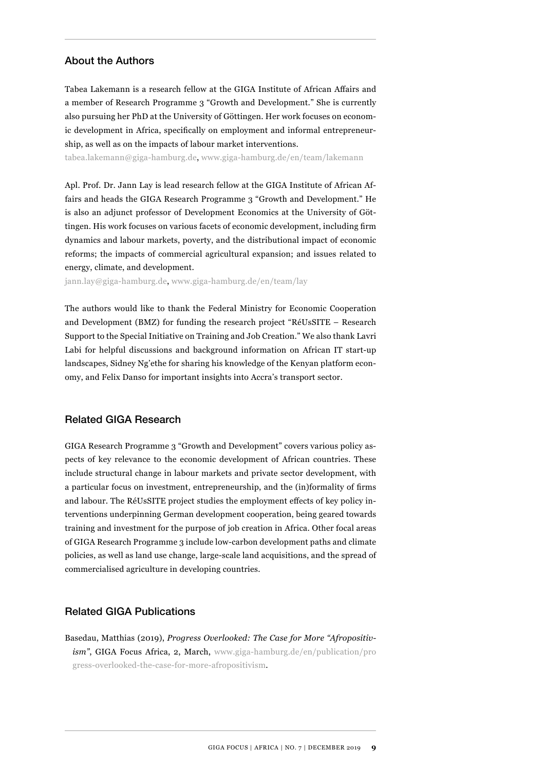#### About the Authors

Tabea Lakemann is a research fellow at the GIGA Institute of African Affairs and a member of Research Programme 3 "Growth and Development." She is currently also pursuing her PhD at the University of Göttingen. Her work focuses on economic development in Africa, specifically on employment and informal entrepreneurship, as well as on the impacts of labour market interventions.

tabea.lakemann@giga-hamburg.de, [www.giga-hamburg.de/en/team/lakemann](http://www.giga-hamburg.de/en/team/lakemann)

Apl. Prof. Dr. Jann Lay is lead research fellow at the GIGA Institute of African Affairs and heads the GIGA Research Programme 3 "Growth and Development." He is also an adjunct professor of Development Economics at the University of Göttingen. His work focuses on various facets of economic development, including firm dynamics and labour markets, poverty, and the distributional impact of economic reforms; the impacts of commercial agricultural expansion; and issues related to energy, climate, and development.

jann.lay@giga-hamburg.de, [www.giga-hamburg.de/en/team/lay](http://www.giga-hamburg.de/en/team/lay)

The authors would like to thank the Federal Ministry for Economic Cooperation and Development (BMZ) for funding the research project "RéUsSITE – Research Support to the Special Initiative on Training and Job Creation." We also thank Lavri Labi for helpful discussions and background information on African IT start-up landscapes, Sidney Ng'ethe for sharing his knowledge of the Kenyan platform economy, and Felix Danso for important insights into Accra's transport sector.

#### Related GIGA Research

GIGA Research Programme 3 "Growth and Development" covers various policy aspects of key relevance to the economic development of African countries. These include structural change in labour markets and private sector development, with a particular focus on investment, entrepreneurship, and the (in)formality of firms and labour. The RéUsSITE project studies the employment effects of key policy interventions underpinning German development cooperation, being geared towards training and investment for the purpose of job creation in Africa. Other focal areas of GIGA Research Programme 3 include low-carbon development paths and climate policies, as well as land use change, large-scale land acquisitions, and the spread of commercialised agriculture in developing countries.

#### Related GIGA Publications

Basedau, Matthias (2019), *Progress Overlooked: The Case for More "Afropositivism"*, GIGA Focus Africa, 2, March, [www.giga-hamburg.de/en/publication/pro](http://www.giga-hamburg.de/en/publication/progress-overlooked-the-case-for-more-afropositivism) [gress-overlooked-the-case-for-more-afropositivism](http://www.giga-hamburg.de/en/publication/progress-overlooked-the-case-for-more-afropositivism).